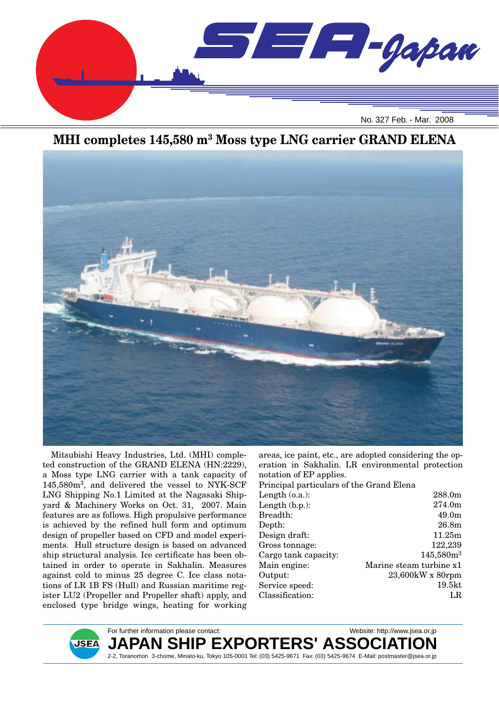

### **MHI completes 145,580 m3 Moss type LNG carrier GRAND ELENA**



Mitsubishi Heavy Industries, Ltd. (MHI) completed construction of the GRAND ELENA (HN:2229), a Moss type LNG carrier with a tank capacity of 145,580m3, and delivered the vessel to NYK-SCF LNG Shipping No.1 Limited at the Nagasaki Shipyard & Machinery Works on Oct. 31, 2007. Main features are as follows. High propulsive performance is achieved by the refined hull form and optimum design of propeller based on CFD and model experiments. Hull structure design is based on advanced ship structural analysis. Ice certificate has been obtained in order to operate in Sakhalin. Measures against cold to minus 25 degree C. Ice class notations of LR 1B FS (Hull) and Russian maritime register LU2 (Propeller and Propeller shaft) apply, and enclosed type bridge wings, heating for working

areas, ice paint, etc., are adopted considering the operation in Sakhalin. LR environmental protection notation of EP applies.

Principal particulars of the Grand Elena

| Length $(o.a.)$ :    | 288.0m                  |
|----------------------|-------------------------|
| Length (b.p.):       | 274.0m                  |
| Breadth:             | 49.0 <sub>m</sub>       |
| Depth:               | 26.8 <sub>m</sub>       |
| Design draft:        | 11.25m                  |
| Gross tonnage:       | 122,239                 |
| Cargo tank capacity: | $145,580m^3$            |
| Main engine:         | Marine steam turbine x1 |
| Output:              | $23,600$ kW x 80rpm     |
| Service speed:       | 19.5 <sub>kt</sub>      |
| Classification:      | LR                      |
|                      |                         |

**JSEA** 

For further information please contact: Website: http://www.jsea.or.jp

**JAPAN SHIP EXPORTERS' ASSOCIATION** 2-2, Toranomon 3-chome, Minato-ku, Tokyo 105-0001 Tel: (03) 5425-9671 Fax: (03) 5425-9674 E-Mail: postmaster@jsea.or.jp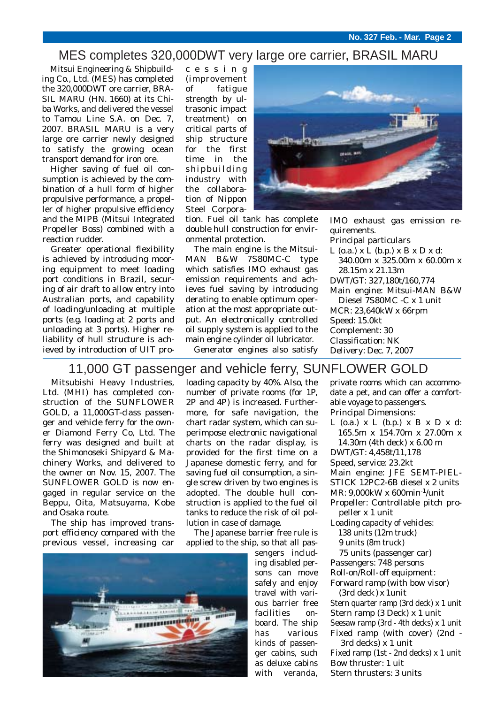#### MES completes 320,000DWT very large ore carrier, BRASIL MARU

Mitsui Engineering & Shipbuilding Co., Ltd. (MES) has completed the 320,000DWT ore carrier, BRA-SIL MARU (HN. 1660) at its Chiba Works, and delivered the vessel to Tamou Line S.A. on Dec. 7, 2007. BRASIL MARU is a very large ore carrier newly designed to satisfy the growing ocean transport demand for iron ore.

Higher saving of fuel oil consumption is achieved by the combination of a hull form of higher propulsive performance, a propeller of higher propulsive efficiency and the MIPB (Mitsui Integrated Propeller Boss) combined with a reaction rudder.

Greater operational flexibility is achieved by introducing mooring equipment to meet loading port conditions in Brazil, securing of air draft to allow entry into Australian ports, and capability of loading/unloading at multiple ports (e.g. loading at 2 ports and unloading at 3 ports). Higher reliability of hull structure is achieved by introduction of UIT processing (improvement of fatigue strength by ultrasonic impact treatment) on critical parts of ship structure for the first time in the shipbuilding industry with the collaboration of Nippon Steel Corpora-



tion. Fuel oil tank has complete double hull construction for environmental protection.

The main engine is the Mitsui-MAN B&W 7S80MC-C type which satisfies IMO exhaust gas emission requirements and achieves fuel saving by introducing derating to enable optimum operation at the most appropriate output. An electronically controlled oil supply system is applied to the main engine cylinder oil lubricator.

Generator engines also satisfy

IMO exhaust gas emission requirements. Principal particulars L  $(o.a.)$  x L  $(b.p.)$  x B x D x d: 340.00m x 325.00m x 60.00m x 28.15m x 21.13m DWT/GT: 327,180t/160,774 Main engine: Mitsui-MAN B&W Diesel 7S80MC -C x 1 unit MCR: 23,640kW x 66rpm Speed: 15.0kt Complement: 30 Classification: NK Delivery: Dec. 7, 2007

#### 11,000 GT passenger and vehicle ferry, SUNFLOWER GOLD

Mitsubishi Heavy Industries, Ltd. (MHI) has completed construction of the SUNFLOWER GOLD, a 11,000GT-class passenger and vehicle ferry for the owner Diamond Ferry Co, Ltd. The ferry was designed and built at the Shimonoseki Shipyard & Machinery Works, and delivered to the owner on Nov. 15, 2007. The SUNFLOWER GOLD is now engaged in regular service on the Beppu, Oita, Matsuyama, Kobe and Osaka route.

The ship has improved transport efficiency compared with the previous vessel, increasing car



loading capacity by 40%. Also, the number of private rooms (for 1P, 2P and 4P) is increased. Furthermore, for safe navigation, the chart radar system, which can superimpose electronic navigational charts on the radar display, is provided for the first time on a Japanese domestic ferry, and for saving fuel oil consumption, a single screw driven by two engines is adopted. The double hull construction is applied to the fuel oil tanks to reduce the risk of oil pollution in case of damage.

The Japanese barrier free rule is applied to the ship, so that all pas-

> sengers including disabled persons can move safely and enjoy travel with various barrier free facilities onboard. The ship has various kinds of passenger cabins, such as deluxe cabins with veranda,

private rooms which can accommodate a pet, and can offer a comfortable voyage to passengers. Principal Dimensions: L  $(o.a.)$  x L  $(b.p.)$  x B x D x d: 165.5m x 154.70m x 27.00m x

14.30m (4th deck) x 6.00 m

DWT/GT: 4,458t/11,178

Speed, service: 23.2kt

Main engine: JFE SEMT-PIEL-

STICK 12PC2-6B diesel x 2 units

MR: 9,000kW x 600min-1/unit

Propeller: Controllable pitch propeller x 1 unit

Loading capacity of vehicles: 138 units (12m truck)

9 units (8m truck)

75 units (passenger car) Passengers: 748 persons Roll-on/Roll-off equipment: Forward ramp (with bow visor)

(3rd deck) x 1unit

Stern quarter ramp (3rd deck) x 1 unit Stern ramp (3 Deck) x 1 unit Seesaw ramp (3rd - 4th decks) x 1 unit Fixed ramp (with cover) (2nd -

3rd decks) x 1 unit Fixed ramp (1st - 2nd decks) x 1 unit Bow thruster: 1 uit

Stern thrusters: 3 units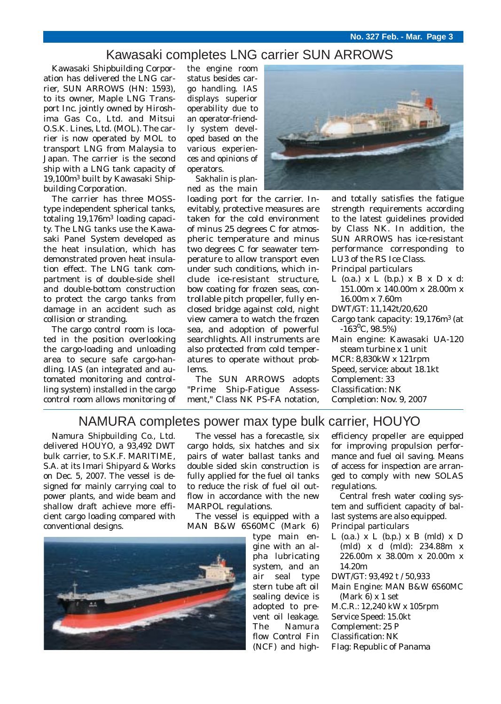### Kawasaki completes LNG carrier SUN ARROWS

Kawasaki Shipbuilding Corporation has delivered the LNG carrier, SUN ARROWS (HN: 1593), to its owner, Maple LNG Transport Inc. jointly owned by Hiroshima Gas Co., Ltd. and Mitsui O.S.K. Lines, Ltd. (MOL). The carrier is now operated by MOL to transport LNG from Malaysia to Japan. The carrier is the second ship with a LNG tank capacity of 19,100m3 built by Kawasaki Shipbuilding Corporation.

The carrier has three MOSStype independent spherical tanks, totaling 19,176m3 loading capacity. The LNG tanks use the Kawasaki Panel System developed as the heat insulation, which has demonstrated proven heat insulation effect. The LNG tank compartment is of double-side shell and double-bottom construction to protect the cargo tanks from damage in an accident such as collision or stranding.

The cargo control room is located in the position overlooking the cargo-loading and unloading area to secure safe cargo-handling. IAS (an integrated and automated monitoring and controlling system) installed in the cargo control room allows monitoring of the engine room status besides cargo handling. IAS displays superior operability due to an operator-friendly system developed based on the various experiences and opinions of operators.

Sakhalin is planned as the main

loading port for the carrier. Inevitably, protective measures are taken for the cold environment of minus 25 degrees C for atmospheric temperature and minus two degrees C for seawater temperature to allow transport even under such conditions, which include ice-resistant structure, bow coating for frozen seas, controllable pitch propeller, fully enclosed bridge against cold, night view camera to watch the frozen sea, and adoption of powerful searchlights. All instruments are also protected from cold temperatures to operate without problems.

The SUN ARROWS adopts "Prime Ship-Fatigue Assessment," Class NK PS-FA notation.



and totally satisfies the fatigue strength requirements according to the latest guidelines provided by Class NK. In addition, the SUN ARROWS has ice-resistant performance corresponding to LU3 of the RS Ice Class.

Principal particulars

- L  $(o.a.)$  x L  $(b.p.)$  x B x D x d: 151.00m x 140.00m x 28.00m x 16.00m x 7.60m
- DWT/GT: 11,142t/20,620
- Cargo tank capacity: 19,176m3 (at  $-163^{\circ}$ C, 98.5%)
- Main engine: Kawasaki UA-120 steam turbine x 1 unit

MCR: 8,830kW x 121rpm

Speed, service: about 18.1kt

Complement: 33

- Classification: NK
- Completion: Nov. 9, 2007

#### NAMURA completes power max type bulk carrier, HOUYO

Namura Shipbuilding Co., Ltd. delivered HOUYO, a 93,492 DWT bulk carrier, to S.K.F. MARITIME, S.A. at its Imari Shipyard & Works on Dec. 5, 2007. The vessel is designed for mainly carrying coal to power plants, and wide beam and shallow draft achieve more efficient cargo loading compared with conventional designs.

The vessel has a forecastle, six cargo holds, six hatches and six pairs of water ballast tanks and double sided skin construction is fully applied for the fuel oil tanks to reduce the risk of fuel oil outflow in accordance with the new MARPOL regulations.

The vessel is equipped with a MAN B&W 6S60MC (Mark 6)

type main engine with an alpha lubricating system, and an air seal type stern tube aft oil sealing device is adopted to prevent oil leakage. The Namura flow Control Fin (NCF) and highefficiency propeller are equipped for improving propulsion performance and fuel oil saving. Means of access for inspection are arranged to comply with new SOLAS regulations.

Central fresh water cooling system and sufficient capacity of ballast systems are also equipped. Principal particulars

- L  $(o.a.)$  x L  $(b.b.)$  x B  $(mld)$  x D (mld) x d (mld): 234.88m x 226.00m x 38.00m x 20.00m x 14.20m
- DWT/GT: 93,492 t / 50,933
- Main Engine: MAN B&W 6S60MC (Mark 6) x 1 set
- M.C.R.: 12,240 kW x 105rpm
- Service Speed: 15.0kt
- Complement: 25 P
- Classification: NK
- Flag: Republic of Panama

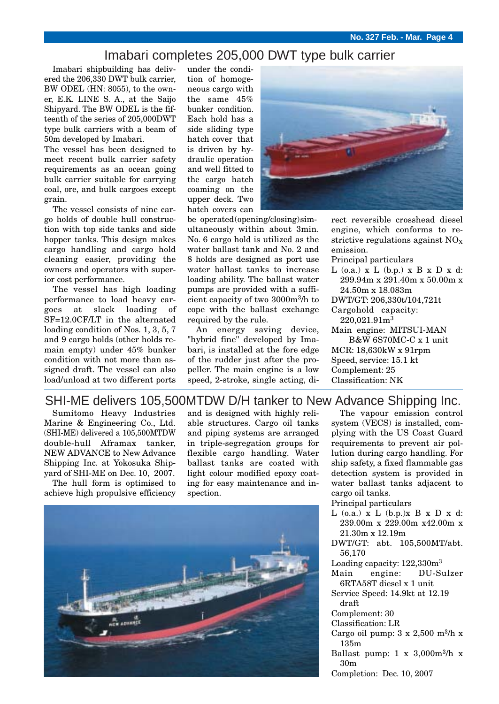#### Imabari completes 205,000 DWT type bulk carrier

Imabari shipbuilding has delivered the 206,330 DWT bulk carrier, BW ODEL (HN: 8055), to the owner, E.K. LINE S. A., at the Saijo Shipyard. The BW ODEL is the fifteenth of the series of 205,000DWT type bulk carriers with a beam of 50m developed by Imabari.

The vessel has been designed to meet recent bulk carrier safety requirements as an ocean going bulk carrier suitable for carrying coal, ore, and bulk cargoes except grain.

The vessel consists of nine cargo holds of double hull construction with top side tanks and side hopper tanks. This design makes cargo handling and cargo hold cleaning easier, providing the owners and operators with superior cost performance.

The vessel has high loading performance to load heavy cargoes at slack loading of SF=12.0CF/LT in the alternated loading condition of Nos. 1, 3, 5, 7 and 9 cargo holds (other holds remain empty) under 45% bunker condition with not more than assigned draft. The vessel can also load/unload at two different ports

under the condition of homogeneous cargo with the same 45% bunker condition. Each hold has a side sliding type hatch cover that is driven by hydraulic operation and well fitted to the cargo hatch coaming on the upper deck. Two hatch covers can



be operated (opening/closing) simultaneously within about 3min. No. 6 cargo hold is utilized as the water ballast tank and No. 2 and 8 holds are designed as port use water ballast tanks to increase loading ability. The ballast water pumps are provided with a sufficient capacity of two 3000m3/h to cope with the ballast exchange required by the rule.

An energy saving device, "hybrid fine" developed by Imabari, is installed at the fore edge of the rudder just after the propeller. The main engine is a low speed, 2-stroke, single acting, direct reversible crosshead diesel engine, which conforms to restrictive regulations against  $NO<sub>X</sub>$ emission.

Principal particulars

- $L$  (o.a.)  $x L$  (b.p.)  $x B x D x d$ : 299.94m x 291.40m x 50.00m x 24.50m x 18.083m
- DWT/GT: 206,330t/104,721t

Cargohold capacity: 220,021.91m3

Main engine: MITSUI-MAN B&W 6S70MC-C x 1 unit

MCR: 18,630kW x 91rpm Speed, service: 15.1 kt Complement: 25 Classification: NK

#### SHI-ME delivers 105,500MTDW D/H tanker to New Advance Shipping Inc.

Sumitomo Heavy Industries Marine & Engineering Co., Ltd. (SHI-ME) delivered a 105,500MTDW double-hull Aframax tanker, NEW ADVANCE to New Advance Shipping Inc. at Yokosuka Shipyard of SHI-ME on Dec. 10, 2007.

The hull form is optimised to achieve high propulsive efficiency and is designed with highly reliable structures. Cargo oil tanks and piping systems are arranged in triple-segregation groups for flexible cargo handling. Water ballast tanks are coated with light colour modified epoxy coating for easy maintenance and inspection.



The vapour emission control system (VECS) is installed, complying with the US Coast Guard requirements to prevent air pollution during cargo handling. For ship safety, a fixed flammable gas detection system is provided in water ballast tanks adjacent to cargo oil tanks.

- Principal particulars
- $L$  (o.a.)  $x L$  (b.p.) $x B x D x d$ : 239.00m x 229.00m x42.00m x 21.30m x 12.19m
- DWT/GT: abt. 105,500MT/abt. 56,170
- Loading capacity: 122,330m3
- Main engine: DU-Sulzer 6RTA58T diesel x 1 unit
- Service Speed: 14.9kt at 12.19 draft
- Complement: 30
- Classification: LR
- Cargo oil pump:  $3 \times 2,500$  m<sup>3</sup>/h x 135m
- Ballast pump:  $1 \times 3,000$ m<sup>3</sup>/h x 30m
- Completion: Dec. 10, 2007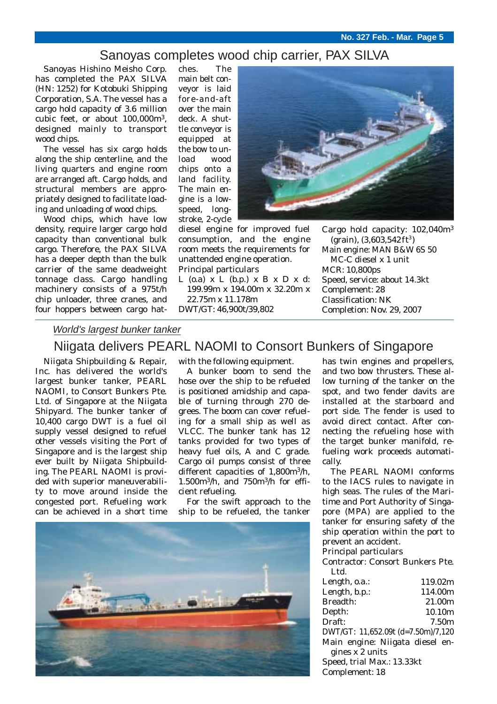#### Sanoyas completes wood chip carrier, PAX SILVA

Sanoyas Hishino Meisho Corp. has completed the PAX SILVA (HN: 1252) for Kotobuki Shipping Corporation, S.A. The vessel has a cargo hold capacity of 3.6 million cubic feet, or about 100,000m3, designed mainly to transport wood chips.

The vessel has six cargo holds along the ship centerline, and the living quarters and engine room are arranged aft. Cargo holds, and structural members are appropriately designed to facilitate loading and unloading of wood chips.

Wood chips, which have low density, require larger cargo hold capacity than conventional bulk cargo. Therefore, the PAX SILVA has a deeper depth than the bulk carrier of the same deadweight tonnage class. Cargo handling machinery consists of a 975t/h chip unloader, three cranes, and four hoppers between cargo hat-

ches. The main belt conveyor is laid fore-and-aft over the main deck. A shuttle conveyor is equipped at the bow to unload wood chips onto a land facility. The main engine is a lowspeed, longstroke, 2-cycle



diesel engine for improved fuel consumption, and the engine room meets the requirements for unattended engine operation. Principal particulars

L  $(o.a)$  x L  $(b.p.)$  x B x D x d: 199.99m x 194.00m x 32.20m x 22.75m x 11.178m DWT/GT: 46,900t/39,802

Cargo hold capacity: 102,040m3  $(grain)$ ,  $(3,603,542 \text{ ft}^3)$ Main engine: MAN B&W 6S 50 MC-C diesel x 1 unit MCR: 10,800ps Speed, service: about 14.3kt Complement: 28 Classification: NK Completion: Nov. 29, 2007

#### World's largest bunker tanker

### Niigata delivers PEARL NAOMI to Consort Bunkers of Singapore

Niigata Shipbuilding & Repair, Inc. has delivered the world's largest bunker tanker, PEARL NAOMI, to Consort Bunkers Pte. Ltd. of Singapore at the Niigata Shipyard. The bunker tanker of 10,400 cargo DWT is a fuel oil supply vessel designed to refuel other vessels visiting the Port of Singapore and is the largest ship ever built by Niigata Shipbuilding. The PEARL NAOMI is provided with superior maneuverability to move around inside the congested port. Refueling work can be achieved in a short time

with the following equipment.

A bunker boom to send the hose over the ship to be refueled is positioned amidship and capable of turning through 270 degrees. The boom can cover refueling for a small ship as well as VLCC. The bunker tank has 12 tanks provided for two types of heavy fuel oils, A and C grade. Cargo oil pumps consist of three different capacities of 1,800m3/h, 1.500m3/h, and 750m3/h for efficient refueling.

For the swift approach to the ship to be refueled, the tanker



has twin engines and propellers, and two bow thrusters. These allow turning of the tanker on the spot, and two fender davits are installed at the starboard and port side. The fender is used to avoid direct contact. After connecting the refueling hose with the target bunker manifold, refueling work proceeds automatically.

The PEARL NAOMI conforms to the IACS rules to navigate in high seas. The rules of the Maritime and Port Authority of Singapore (MPA) are applied to the tanker for ensuring safety of the ship operation within the port to prevent an accident.

Principal particulars

Contractor: Consort Bunkers Pte. Ltd.

| Length, o.a.:                      | 119.02m            |
|------------------------------------|--------------------|
| Length, b.p.:                      | 114.00m            |
| <b>Breadth:</b>                    | 21.00m             |
| Depth:                             | 10.10 <sub>m</sub> |
| Draft:                             | 7.50m              |
| DWT/GT: 11,652.09t (d=7.50m)/7,120 |                    |
| Main engine: Niigata diesel en-    |                    |
| gines x 2 units                    |                    |
| Speed, trial Max.: 13.33kt         |                    |
| Complement: 18                     |                    |